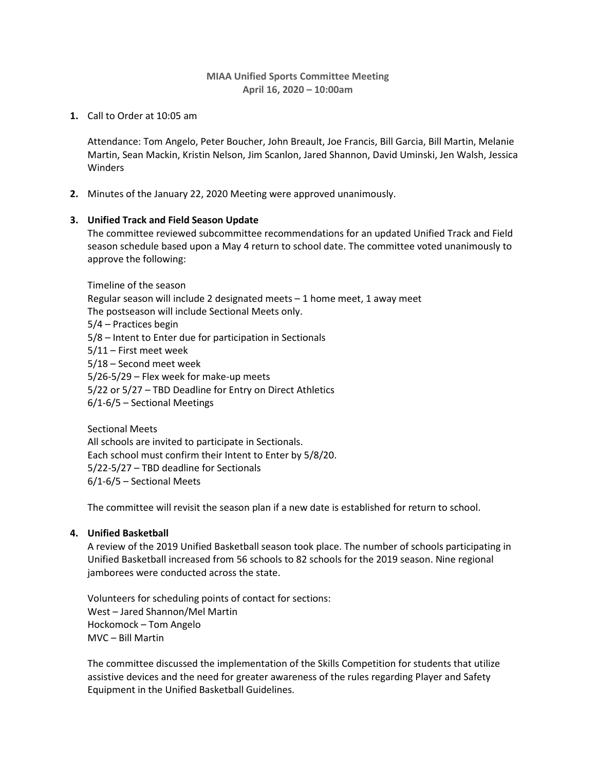## **MIAA Unified Sports Committee Meeting April 16, 2020 – 10:00am**

**1.** Call to Order at 10:05 am

Attendance: Tom Angelo, Peter Boucher, John Breault, Joe Francis, Bill Garcia, Bill Martin, Melanie Martin, Sean Mackin, Kristin Nelson, Jim Scanlon, Jared Shannon, David Uminski, Jen Walsh, Jessica **Winders** 

**2.** Minutes of the January 22, 2020 Meeting were approved unanimously.

#### **3. Unified Track and Field Season Update**

The committee reviewed subcommittee recommendations for an updated Unified Track and Field season schedule based upon a May 4 return to school date. The committee voted unanimously to approve the following:

Timeline of the season Regular season will include 2 designated meets – 1 home meet, 1 away meet The postseason will include Sectional Meets only. 5/4 – Practices begin 5/8 – Intent to Enter due for participation in Sectionals 5/11 – First meet week 5/18 – Second meet week 5/26-5/29 – Flex week for make-up meets 5/22 or 5/27 – TBD Deadline for Entry on Direct Athletics 6/1-6/5 – Sectional Meetings

Sectional Meets All schools are invited to participate in Sectionals. Each school must confirm their Intent to Enter by 5/8/20. 5/22-5/27 – TBD deadline for Sectionals 6/1-6/5 – Sectional Meets

The committee will revisit the season plan if a new date is established for return to school.

# **4. Unified Basketball**

A review of the 2019 Unified Basketball season took place. The number of schools participating in Unified Basketball increased from 56 schools to 82 schools for the 2019 season. Nine regional jamborees were conducted across the state.

Volunteers for scheduling points of contact for sections: West – Jared Shannon/Mel Martin Hockomock – Tom Angelo MVC – Bill Martin

The committee discussed the implementation of the Skills Competition for students that utilize assistive devices and the need for greater awareness of the rules regarding Player and Safety Equipment in the Unified Basketball Guidelines.